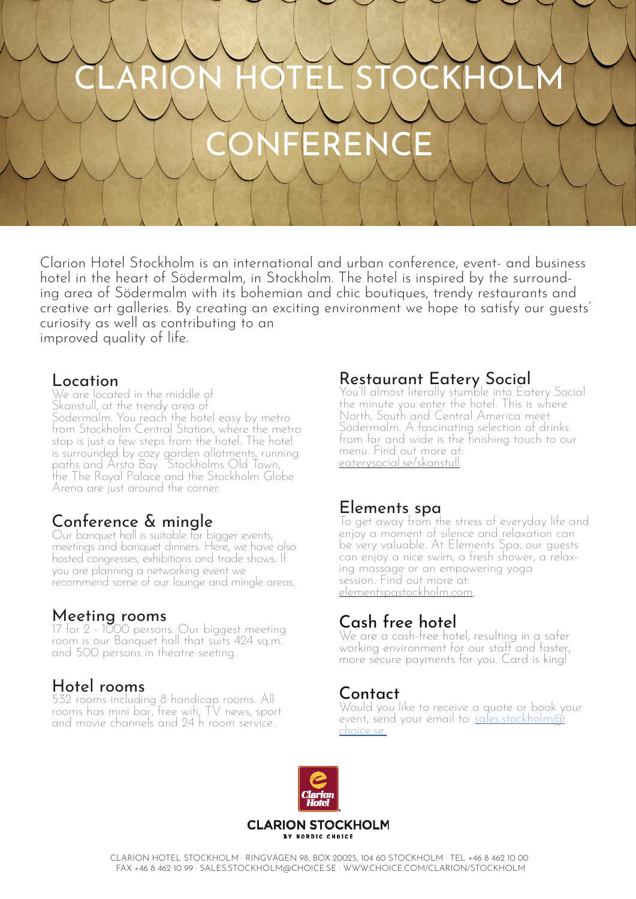# CLARION HOTEL STOCKHOLM

# IFEREN

Clarion Hotel Stockholm is an international and urban conference, event- and business hotel in the heart of Södermalm, in Stockholm. The hotel is inspired by the surround- ing area of Södermalm with its bohemian and chic boutiques, trendy restaurants and creative art galleries. By creating an exciting environment we hope to satisfy our guests' curiosity as well as contributing to an improved quality of life.

#### Location

We are located in the middle of Skanstull, at the trendy area of Södermalm. You reach the hotel easy by metro from Stockholm Central Station, where the metro stop is just a few steps from the hotel. The hotel is surrounded by cozy garden allotments, running paths and Årsta Bay. Stockholms Old Town, the The Royal Palace and the Stockholm Globe Arena are just around the corner.

## Conference & mingle

Our banquet hall is suitable for bigger events, meetings and banquet dinners. Here, we have also hosted congresses, exhibitions and trade shows. If recommend some of our lounge and mingle areas.

#### Meeting rooms

17 for 2 - 1000 persons. Our biggest meeting room is our Banquet hall that suits 424 sq.m. and 500 persons in theatre seeting.

### Hotel rooms

532 rooms including 8 handicap rooms. All rooms has mini bar, free wifi, TV news, sport and movie channels and 24 h room service.

#### Restaurant Eatery Social

You'll almost literally stumble into Eatery Social the minute you enter the hotel. This is where North, South and Central America meet Södermalm. A fascinating selection of drinks from far and wide is the finishing touch to our menu. Find out more at: eaterysocial.se/skanstull.

#### Elements spa

Io get away from the stress of everyday life and enjoy a moment of silence and relaxation can be very valuable. At Elements Spa, our guests can enjoy a nice swim, a fresh shower, a relax- ing massage or an empowering yoga session. Find out more at: elementspastockholm.com.

### Cash free hotel

We are a cash-free hotel, resulting in a safer working environment for our staff and faster, more secure payments for you. Card is king!

#### Contact

Would you like to receive a quote or book your event, send your email to: <u>sales.stockholm@</u><br>choice.se.